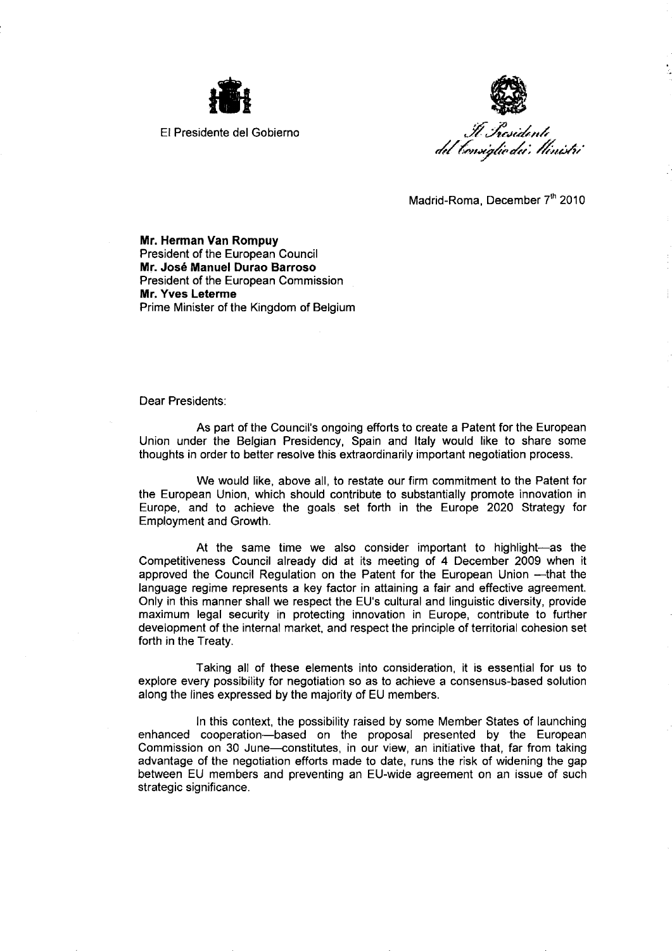



Madrid-Roma, December 7th 2010

Mr. Herman Van Rompuy President of the European Council Mr. José Manuel Durao Barroso President of the European Commission Mr. Yves Leterme Prime Minister of the Kingdom of Belgium

Dear Presidents:

As part of the Council's ongoing efforts to create a Patent for the European Union under the Belgian Presidency, Spain and Italy would like to share some thoughts in order to better resolve this extraordinarily important negotiation process.

We would like, above all, to restate our firm commitment to the Patent for the European Union, which should contribute to substantially promote innovation in Europe, and to achieve the goals set forth in the Europe 2020 Strategy for Employment and Growth.

At the same time we also consider important to highlight-as the Competitiveness Council already did at its meeting of 4 December 2009 when it approved the Council Regulation on the Patent for the European Union -- that the language regime represents a key factor in attaining a fair and effective agreement. Only in this manner shall we respect the EU's cultural and linguistic diversity, provide maximum legal security in protecting innovation in Europe, contribute to further development of the internal market, and respect the principle of territorial cohesion set forth in the Treaty.

Taking all of these elements into consideration, it is essential for us to explore every possibilty for negotiation so as to achieve a consensus-based solution along the lines expressed by the majority of EU members.

In this context, the possibility raised by some Member States of launching enhanced cooperation-based on the proposal presented by the European Commission on 30 June-constitutes, in our view, an initiative that, far from taking advantage of the negotiation efforts made to date, runs the risk of widening the gap between EU members and preventing an EU-wide agreement on an issue of such strategic significance.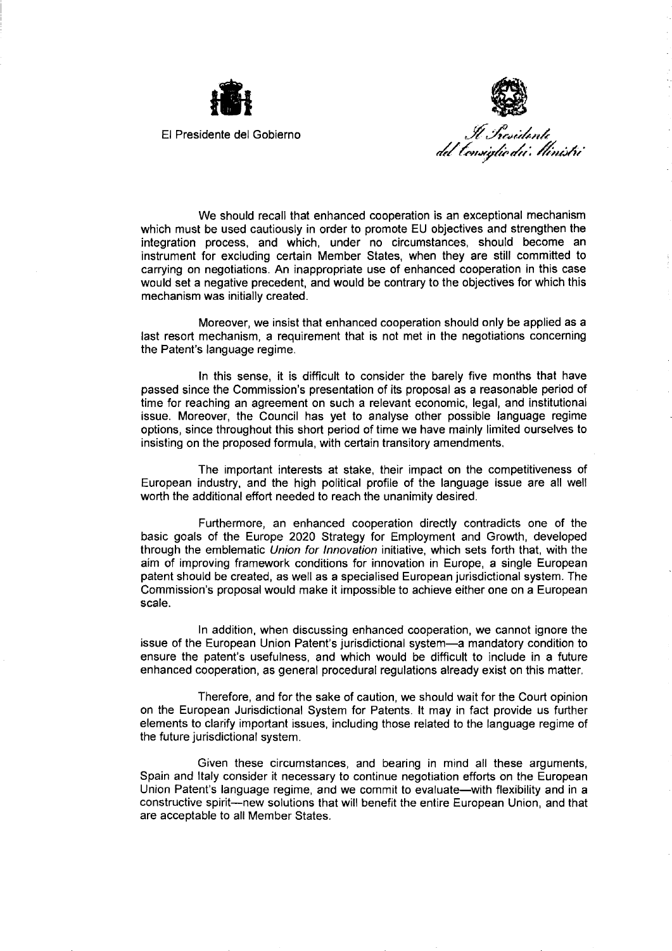



We should recall that enhanced cooperation is an exceptional mechanism which must be used cautiously in order to promote EU objectives and strengthen the integration process, and which, under no circumstances, should become an instrument for excluding certain Member States, when they are still committed to carrying on negotiations. An inappropriate use of enhanced cooperation in this case would set a negative precedent, and would be contrary to the objectives for which this mechanism was initially created.

Moreover, we insist that enhanced cooperation should only be applied as a last resort mechanism, a requirement that is not met in the negotiations concerning the Patent's language regime.

In this sense, it is difficult to consider the barely five months that have passed since the Commission's presentation of its proposal as a reasonable period of time for reaching an agreement on such a relevant economic, legal, and institutional issue. Moreover, the Council has vet to analyse other possible language regime options, since throughout this short period of time we have mainly limited ourselves to insisting on the proposed formula, with certain transitory amendments,

The important interests at stake, their impact on the competitiveness of European industry, and the high political profile of the language issue are all well worth the additional effort needed to reach the unanimity desired.

Furthermore, an enhanced cooperation directly contradicts one of the basic goals of the Europe 2020 Strategy for Employment and Growth, developed through the emblematic Union for Innovation initiative, which sets forth that, with the aim of improving framework conditions for innovation in Europe, a single European patent should be created, as well as a specialised European jurisdictional system. The Commission's proposal would make it impossible to achieve either one on a European scale.

In addition, when discussing enhanced cooperation, we cannot ignore the issue of the European Union Patent's jurisdictional system—a mandatory condition to ensure the patent's usefulness, and which would be difficult to include in a future enhanced cooperation, as general procedural regulations already exist on this matter.

Therefore, and for the sake of caution, we should wait for the Court opinion on the European Jurisdictional System for Patents. It may in fact provide us further elements to clarify important issues, including those related to the language regime of the future jurisdictional system.

Given these circumstances, and bearing in mind all these arguments, Spain and Italy consider it necessary to continue negotiation efforts on the European Union Patent's language regime, and we commit to evaluate—with flexibility and in a constructive spirit—new solutions that will benefit the entire European Union, and that are acceptable to all Member States.